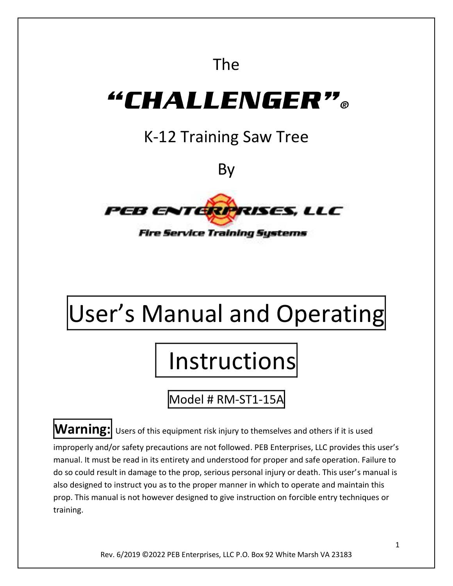# The

# "CHALLENGER"。

# K-12 Training Saw Tree

By



**Fire Service Training Systems** 

# User's Manual and Operating

# **Instructions**

Model # RM-ST1-15A

**Warning:** Users of this equipment risk injury to themselves and others if it is used

improperly and/or safety precautions are not followed. PEB Enterprises, LLC provides this user's manual. It must be read in its entirety and understood for proper and safe operation. Failure to do so could result in damage to the prop, serious personal injury or death. This user's manual is also designed to instruct you as to the proper manner in which to operate and maintain this prop. This manual is not however designed to give instruction on forcible entry techniques or training.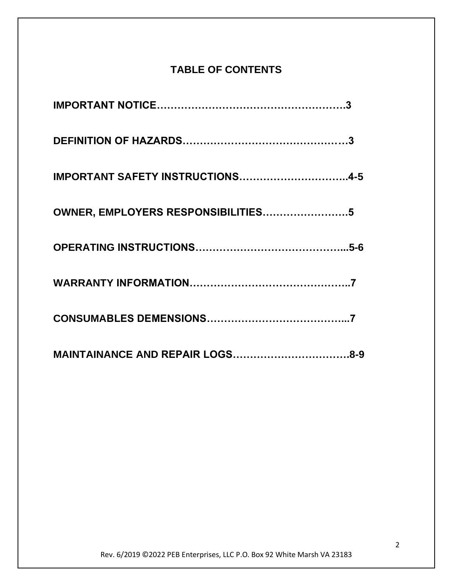### **TABLE OF CONTENTS**

| IMPORTANT SAFETY INSTRUCTIONS4-5   |
|------------------------------------|
| OWNER, EMPLOYERS RESPONSIBILITIES5 |
|                                    |
|                                    |
|                                    |
|                                    |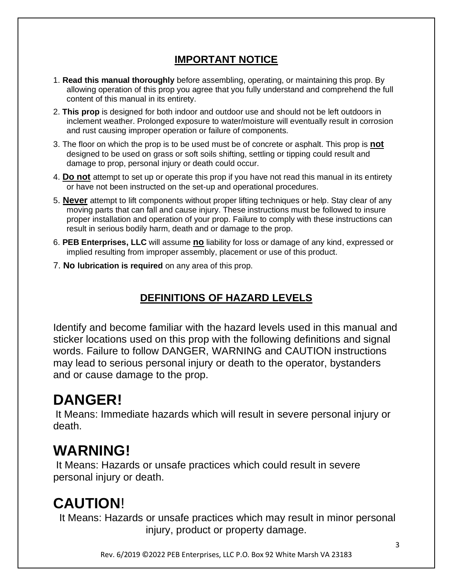### **IMPORTANT NOTICE**

- 1. **Read this manual thoroughly** before assembling, operating, or maintaining this prop. By allowing operation of this prop you agree that you fully understand and comprehend the full content of this manual in its entirety.
- 2. **This prop** is designed for both indoor and outdoor use and should not be left outdoors in inclement weather. Prolonged exposure to water/moisture will eventually result in corrosion and rust causing improper operation or failure of components.
- 3. The floor on which the prop is to be used must be of concrete or asphalt. This prop is **not** designed to be used on grass or soft soils shifting, settling or tipping could result and damage to prop, personal injury or death could occur.
- 4. **Do not** attempt to set up or operate this prop if you have not read this manual in its entirety or have not been instructed on the set-up and operational procedures.
- 5. **Never** attempt to lift components without proper lifting techniques or help. Stay clear of any moving parts that can fall and cause injury. These instructions must be followed to insure proper installation and operation of your prop. Failure to comply with these instructions can result in serious bodily harm, death and or damage to the prop.
- 6. **PEB Enterprises, LLC** will assume **no** liability for loss or damage of any kind, expressed or implied resulting from improper assembly, placement or use of this product.
- 7. **No lubrication is required** on any area of this prop.

### **DEFINITIONS OF HAZARD LEVELS**

Identify and become familiar with the hazard levels used in this manual and sticker locations used on this prop with the following definitions and signal words. Failure to follow DANGER, WARNING and CAUTION instructions may lead to serious personal injury or death to the operator, bystanders and or cause damage to the prop.

# **DANGER!**

It Means: Immediate hazards which will result in severe personal injury or death.

## **WARNING!**

It Means: Hazards or unsafe practices which could result in severe personal injury or death.

# **CAUTION**!

It Means: Hazards or unsafe practices which may result in minor personal injury, product or property damage.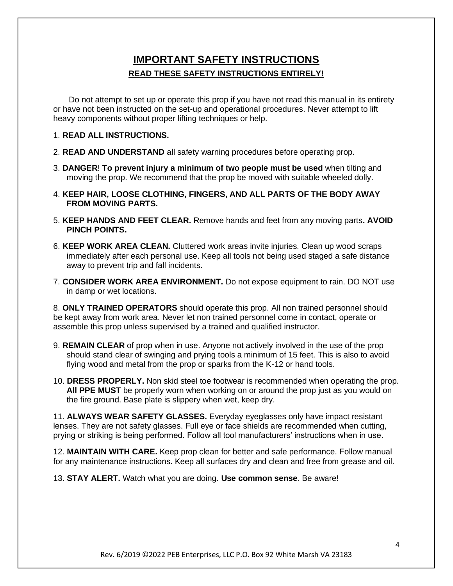#### **IMPORTANT SAFETY INSTRUCTIONS READ THESE SAFETY INSTRUCTIONS ENTIRELY!**

Do not attempt to set up or operate this prop if you have not read this manual in its entirety or have not been instructed on the set-up and operational procedures. Never attempt to lift heavy components without proper lifting techniques or help.

#### 1. **READ ALL INSTRUCTIONS.**

- 2. **READ AND UNDERSTAND** all safety warning procedures before operating prop.
- 3. **DANGER**! **To prevent injury a minimum of two people must be used** when tilting and moving the prop. We recommend that the prop be moved with suitable wheeled dolly.
- 4. **KEEP HAIR, LOOSE CLOTHING, FINGERS, AND ALL PARTS OF THE BODY AWAY FROM MOVING PARTS.**
- 5. **KEEP HANDS AND FEET CLEAR.** Remove hands and feet from any moving parts**. AVOID PINCH POINTS.**
- 6. **KEEP WORK AREA CLEAN.** Cluttered work areas invite injuries. Clean up wood scraps immediately after each personal use. Keep all tools not being used staged a safe distance away to prevent trip and fall incidents.
- 7. **CONSIDER WORK AREA ENVIRONMENT.** Do not expose equipment to rain. DO NOT use in damp or wet locations.

8. **ONLY TRAINED OPERATORS** should operate this prop. All non trained personnel should be kept away from work area. Never let non trained personnel come in contact, operate or assemble this prop unless supervised by a trained and qualified instructor.

- 9. **REMAIN CLEAR** of prop when in use. Anyone not actively involved in the use of the prop should stand clear of swinging and prying tools a minimum of 15 feet. This is also to avoid flying wood and metal from the prop or sparks from the K-12 or hand tools.
- 10. **DRESS PROPERLY.** Non skid steel toe footwear is recommended when operating the prop. **All PPE MUST** be properly worn when working on or around the prop just as you would on the fire ground. Base plate is slippery when wet, keep dry.

11. **ALWAYS WEAR SAFETY GLASSES.** Everyday eyeglasses only have impact resistant lenses. They are not safety glasses. Full eye or face shields are recommended when cutting, prying or striking is being performed. Follow all tool manufacturers' instructions when in use.

12. **MAINTAIN WITH CARE.** Keep prop clean for better and safe performance. Follow manual for any maintenance instructions. Keep all surfaces dry and clean and free from grease and oil.

13. **STAY ALERT.** Watch what you are doing. **Use common sense**. Be aware!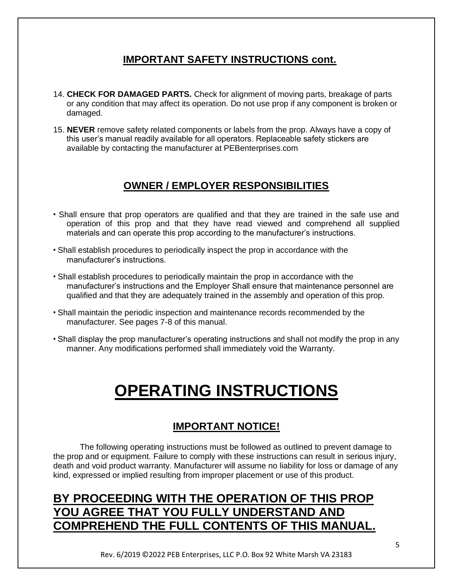#### **IMPORTANT SAFETY INSTRUCTIONS cont.**

- 14. **CHECK FOR DAMAGED PARTS.** Check for alignment of moving parts, breakage of parts or any condition that may affect its operation. Do not use prop if any component is broken or damaged.
- 15. **NEVER** remove safety related components or labels from the prop. Always have a copy of this user's manual readily available for all operators. Replaceable safety stickers are available by contacting the manufacturer at PEBenterprises.com

#### **OWNER / EMPLOYER RESPONSIBILITIES**

- Shall ensure that prop operators are qualified and that they are trained in the safe use and operation of this prop and that they have read viewed and comprehend all supplied materials and can operate this prop according to the manufacturer's instructions.
- Shall establish procedures to periodically inspect the prop in accordance with the manufacturer's instructions.
- Shall establish procedures to periodically maintain the prop in accordance with the manufacturer's instructions and the Employer Shall ensure that maintenance personnel are qualified and that they are adequately trained in the assembly and operation of this prop.
- Shall maintain the periodic inspection and maintenance records recommended by the manufacturer. See pages 7-8 of this manual.
- Shall display the prop manufacturer's operating instructions and shall not modify the prop in any manner. Any modifications performed shall immediately void the Warranty.

# **OPERATING INSTRUCTIONS**

#### **IMPORTANT NOTICE!**

The following operating instructions must be followed as outlined to prevent damage to the prop and or equipment. Failure to comply with these instructions can result in serious injury, death and void product warranty. Manufacturer will assume no liability for loss or damage of any kind, expressed or implied resulting from improper placement or use of this product.

## **BY PROCEEDING WITH THE OPERATION OF THIS PROP YOU AGREE THAT YOU FULLY UNDERSTAND AND COMPREHEND THE FULL CONTENTS OF THIS MANUAL.**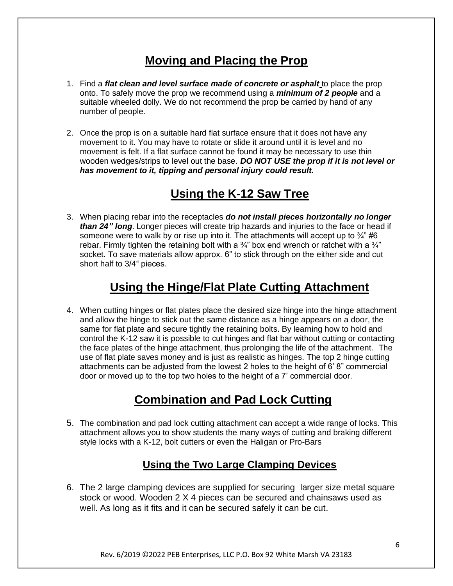## **Moving and Placing the Prop**

- 1. Find a *flat clean and level surface made of concrete or asphalt* to place the prop onto. To safely move the prop we recommend using a *minimum of 2 people* and a suitable wheeled dolly. We do not recommend the prop be carried by hand of any number of people.
- 2. Once the prop is on a suitable hard flat surface ensure that it does not have any movement to it. You may have to rotate or slide it around until it is level and no movement is felt. If a flat surface cannot be found it may be necessary to use thin wooden wedges/strips to level out the base. *DO NOT USE the prop if it is not level or has movement to it, tipping and personal injury could result.*

## **Using the K-12 Saw Tree**

3. When placing rebar into the receptacles *do not install pieces horizontally no longer than 24" long*. Longer pieces will create trip hazards and injuries to the face or head if someone were to walk by or rise up into it. The attachments will accept up to  $\frac{3}{4}$ " #6 rebar. Firmly tighten the retaining bolt with a  $\frac{3}{4}$ " box end wrench or ratchet with a  $\frac{3}{4}$ " socket. To save materials allow approx. 6" to stick through on the either side and cut short half to 3/4" pieces.

## **Using the Hinge/Flat Plate Cutting Attachment**

4. When cutting hinges or flat plates place the desired size hinge into the hinge attachment and allow the hinge to stick out the same distance as a hinge appears on a door, the same for flat plate and secure tightly the retaining bolts. By learning how to hold and control the K-12 saw it is possible to cut hinges and flat bar without cutting or contacting the face plates of the hinge attachment, thus prolonging the life of the attachment. The use of flat plate saves money and is just as realistic as hinges. The top 2 hinge cutting attachments can be adjusted from the lowest 2 holes to the height of 6' 8" commercial door or moved up to the top two holes to the height of a 7' commercial door.

## **Combination and Pad Lock Cutting**

5. The combination and pad lock cutting attachment can accept a wide range of locks. This attachment allows you to show students the many ways of cutting and braking different style locks with a K-12, bolt cutters or even the Haligan or Pro-Bars

#### **Using the Two Large Clamping Devices**

6. The 2 large clamping devices are supplied for securing larger size metal square stock or wood. Wooden 2 X 4 pieces can be secured and chainsaws used as well. As long as it fits and it can be secured safely it can be cut.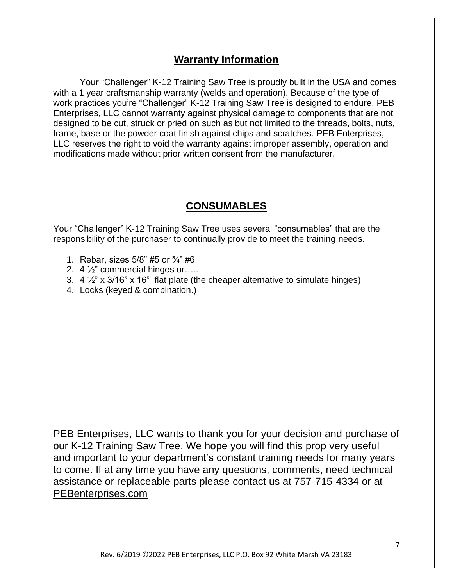#### **Warranty Information**

Your "Challenger" K-12 Training Saw Tree is proudly built in the USA and comes with a 1 year craftsmanship warranty (welds and operation). Because of the type of work practices you're "Challenger" K-12 Training Saw Tree is designed to endure. PEB Enterprises, LLC cannot warranty against physical damage to components that are not designed to be cut, struck or pried on such as but not limited to the threads, bolts, nuts, frame, base or the powder coat finish against chips and scratches. PEB Enterprises, LLC reserves the right to void the warranty against improper assembly, operation and modifications made without prior written consent from the manufacturer.

#### **CONSUMABLES**

Your "Challenger" K-12 Training Saw Tree uses several "consumables" that are the responsibility of the purchaser to continually provide to meet the training needs.

- 1. Rebar, sizes  $5/8$ " #5 or  $\frac{3}{4}$ " #6
- 2.  $4\frac{1}{2}$  commercial hinges or....
- 3.  $4\frac{1}{2}$ " x 3/16" x 16" flat plate (the cheaper alternative to simulate hinges)
- 4. Locks (keyed & combination.)

PEB Enterprises, LLC wants to thank you for your decision and purchase of our K-12 Training Saw Tree. We hope you will find this prop very useful and important to your department's constant training needs for many years to come. If at any time you have any questions, comments, need technical assistance or replaceable parts please contact us at 757-715-4334 or at [PEBenterprises.com](mailto:PEBenterpriseLLC@aol.com)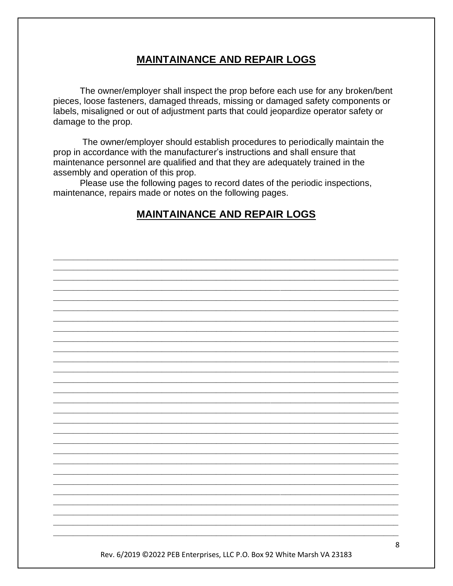#### **MAINTAINANCE AND REPAIR LOGS**

The owner/employer shall inspect the prop before each use for any broken/bent pieces, loose fasteners, damaged threads, missing or damaged safety components or labels, misaligned or out of adjustment parts that could jeopardize operator safety or damage to the prop.

The owner/employer should establish procedures to periodically maintain the prop in accordance with the manufacturer's instructions and shall ensure that maintenance personnel are qualified and that they are adequately trained in the assembly and operation of this prop.

Please use the following pages to record dates of the periodic inspections, maintenance, repairs made or notes on the following pages.

#### **MAINTAINANCE AND REPAIR LOGS**